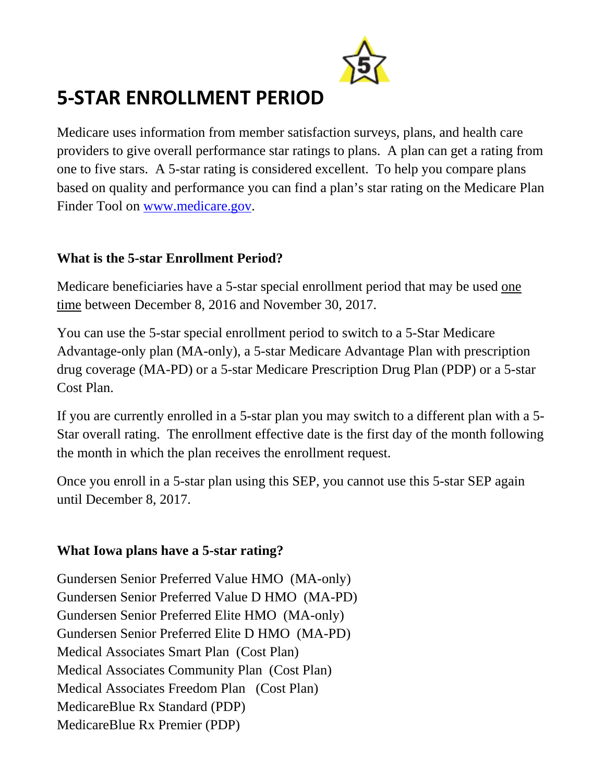

## **5‐STAR ENROLLMENT PERIOD**

Medicare uses information from member satisfaction surveys, plans, and health care providers to give overall performance star ratings to plans. A plan can get a rating from one to five stars. A 5-star rating is considered excellent. To help you compare plans based on quality and performance you can find a plan's star rating on the Medicare Plan Finder Tool on www.medicare.gov.

## **What is the 5-star Enrollment Period?**

Medicare beneficiaries have a 5-star special enrollment period that may be used one time between December 8, 2016 and November 30, 2017.

You can use the 5-star special enrollment period to switch to a 5-Star Medicare Advantage-only plan (MA-only), a 5-star Medicare Advantage Plan with prescription drug coverage (MA-PD) or a 5-star Medicare Prescription Drug Plan (PDP) or a 5-star Cost Plan.

If you are currently enrolled in a 5-star plan you may switch to a different plan with a 5- Star overall rating. The enrollment effective date is the first day of the month following the month in which the plan receives the enrollment request.

Once you enroll in a 5-star plan using this SEP, you cannot use this 5-star SEP again until December 8, 2017.

## **What Iowa plans have a 5-star rating?**

Gundersen Senior Preferred Value HMO (MA-only) Gundersen Senior Preferred Value D HMO (MA-PD) Gundersen Senior Preferred Elite HMO (MA-only) Gundersen Senior Preferred Elite D HMO (MA-PD) Medical Associates Smart Plan (Cost Plan) Medical Associates Community Plan (Cost Plan) Medical Associates Freedom Plan (Cost Plan) MedicareBlue Rx Standard (PDP) MedicareBlue Rx Premier (PDP)